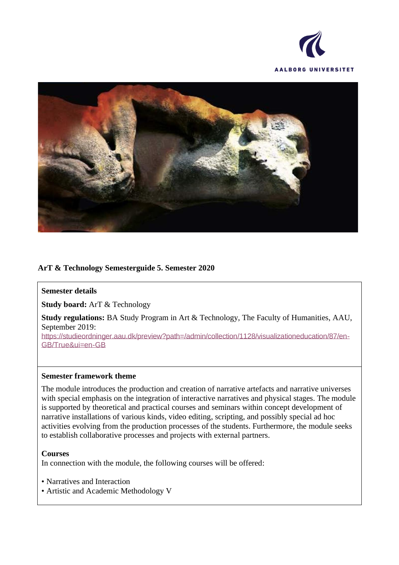



### **ArT & Technology Semesterguide 5. Semester 2020**

#### **Semester details**

**Study board:** ArT & Technology

**Study regulations:** BA Study Program in Art & Technology, The Faculty of Humanities, AAU, September 2019:

https://studieordninger.aau.dk/preview?path=/admin/collection/1128/visualizationeducation/87/en-GB/True&ui=en-GB

#### **Semester framework theme**

The module introduces the production and creation of narrative artefacts and narrative universes with special emphasis on the integration of interactive narratives and physical stages. The module is supported by theoretical and practical courses and seminars within concept development of narrative installations of various kinds, video editing, scripting, and possibly special ad hoc activities evolving from the production processes of the students. Furthermore, the module seeks to establish collaborative processes and projects with external partners.

#### **Courses**

In connection with the module, the following courses will be offered:

• Narratives and Interaction

• Artistic and Academic Methodology V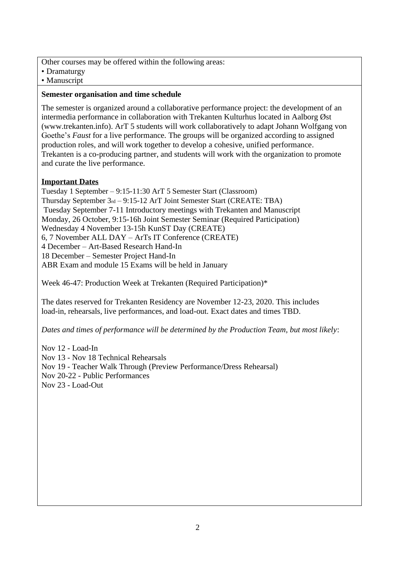Other courses may be offered within the following areas:

• Dramaturgy

• Manuscript

#### **Semester organisation and time schedule**

The semester is organized around a collaborative performance project: the development of an intermedia performance in collaboration with Trekanten Kulturhus located in Aalborg Øst (www.trekanten.info). ArT 5 students will work collaboratively to adapt Johann Wolfgang von Goethe's *Faust* for a live performance. The groups will be organized according to assigned production roles, and will work together to develop a cohesive, unified performance. Trekanten is a co-producing partner, and students will work with the organization to promote and curate the live performance.

### **Important Dates**

 Tuesday 1 September – 9:15-11:30 ArT 5 Semester Start (Classroom) Thursday September 3rd – 9:15-12 ArT Joint Semester Start (CREATE: TBA) Tuesday September 7-11 Introductory meetings with Trekanten and Manuscript Monday, 26 October, 9:15-16h Joint Semester Seminar (Required Participation) Wednesday 4 November 13-15h KunST Day (CREATE) 6, 7 November ALL DAY – ArTs IT Conference (CREATE) 4 December – Art-Based Research Hand-In 18 December – Semester Project Hand-In ABR Exam and module 15 Exams will be held in January

Week 46-47: Production Week at Trekanten (Required Participation)\*

The dates reserved for Trekanten Residency are November 12-23, 2020. This includes load-in, rehearsals, live performances, and load-out. Exact dates and times TBD.

*Dates and times of performance will be determined by the Production Team, but most likely*:

Nov 12 - Load-In Nov 13 - Nov 18 Technical Rehearsals Nov 19 - Teacher Walk Through (Preview Performance/Dress Rehearsal) Nov 20-22 - Public Performances Nov 23 - Load-Out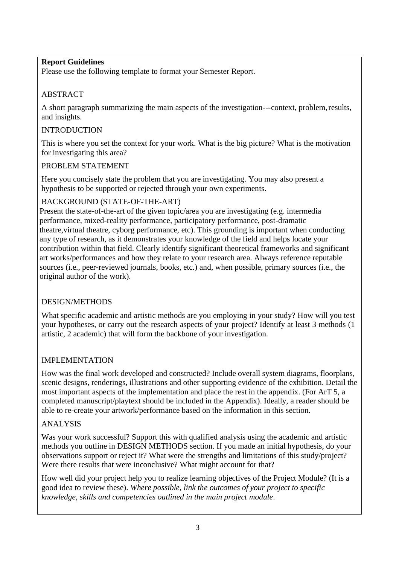## **Report Guidelines**

Please use the following template to format your Semester Report.

## ABSTRACT

A short paragraph summarizing the main aspects of the investigation---context, problem,results, and insights.

### INTRODUCTION

This is where you set the context for your work. What is the big picture? What is the motivation for investigating this area?

### PROBLEM STATEMENT

Here you concisely state the problem that you are investigating. You may also present a hypothesis to be supported or rejected through your own experiments.

## BACKGROUND (STATE-OF-THE-ART)

Present the state-of-the-art of the given topic/area you are investigating (e.g. intermedia performance, mixed-reality performance, participatory performance, post-dramatic theatre,virtual theatre, cyborg performance, etc). This grounding is important when conducting any type of research, as it demonstrates your knowledge of the field and helps locate your contribution within that field. Clearly identify significant theoretical frameworks and significant art works/performances and how they relate to your research area. Always reference reputable sources (i.e., peer-reviewed journals, books, etc.) and, when possible, primary sources (i.e., the original author of the work).

## DESIGN/METHODS

What specific academic and artistic methods are you employing in your study? How will you test your hypotheses, or carry out the research aspects of your project? Identify at least 3 methods (1 artistic, 2 academic) that will form the backbone of your investigation.

## IMPLEMENTATION

How was the final work developed and constructed? Include overall system diagrams, floorplans, scenic designs, renderings, illustrations and other supporting evidence of the exhibition. Detail the most important aspects of the implementation and place the rest in the appendix. (For ArT 5, a completed manuscript/playtext should be included in the Appendix). Ideally, a reader should be able to re-create your artwork/performance based on the information in this section.

## ANALYSIS

Was your work successful? Support this with qualified analysis using the academic and artistic methods you outline in DESIGN METHODS section. If you made an initial hypothesis, do your observations support or reject it? What were the strengths and limitations of this study/project? Were there results that were inconclusive? What might account for that?

How well did your project help you to realize learning objectives of the Project Module? (It is a good idea to review these). *Where possible, link the outcomes of your project to specific knowledge, skills and competencies outlined in the main project module*.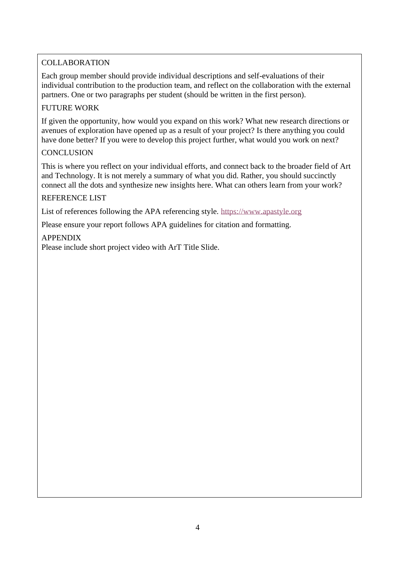## COLLABORATION

Each group member should provide individual descriptions and self-evaluations of their individual contribution to the production team, and reflect on the collaboration with the external partners. One or two paragraphs per student (should be written in the first person).

## FUTURE WORK

If given the opportunity, how would you expand on this work? What new research directions or avenues of exploration have opened up as a result of your project? Is there anything you could have done better? If you were to develop this project further, what would you work on next?

### **CONCLUSION**

This is where you reflect on your individual efforts, and connect back to the broader field of Art and Technology. It is not merely a summary of what you did. Rather, you should succinctly connect all the dots and synthesize new insights here. What can others learn from your work?

### REFERENCE LIST

List of references following the APA referencing style. https:/[/www.apastyle.org](http://www.apastyle.org/)

Please ensure your report follows APA guidelines for citation and formatting.

### APPENDIX

Please include short project video with ArT Title Slide.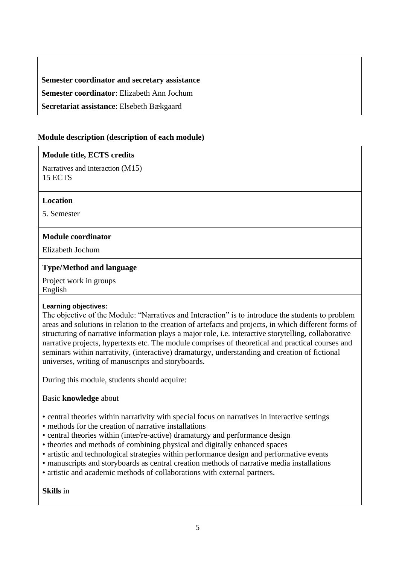#### **Semester coordinator and secretary assistance**

**Semester coordinator**: Elizabeth Ann Jochum

**Secretariat assistance**: Elsebeth Bækgaard

#### **Module description (description of each module)**

#### **Module title, ECTS credits**

Narratives and Interaction (M15) 15 ECTS

#### **Location**

5. Semester

#### **Module coordinator**

Elizabeth Jochum

#### **Type/Method and language**

Project work in groups English

#### **Learning objectives:**

The objective of the Module: "Narratives and Interaction" is to introduce the students to problem areas and solutions in relation to the creation of artefacts and projects, in which different forms of structuring of narrative information plays a major role, i.e. interactive storytelling, collaborative narrative projects, hypertexts etc. The module comprises of theoretical and practical courses and seminars within narrativity, (interactive) dramaturgy, understanding and creation of fictional universes, writing of manuscripts and storyboards.

During this module, students should acquire:

#### Basic **knowledge** about

- central theories within narrativity with special focus on narratives in interactive settings
- methods for the creation of narrative installations
- central theories within (inter/re-active) dramaturgy and performance design
- theories and methods of combining physical and digitally enhanced spaces
- artistic and technological strategies within performance design and performative events
- manuscripts and storyboards as central creation methods of narrative media installations
- artistic and academic methods of collaborations with external partners.

**Skills** in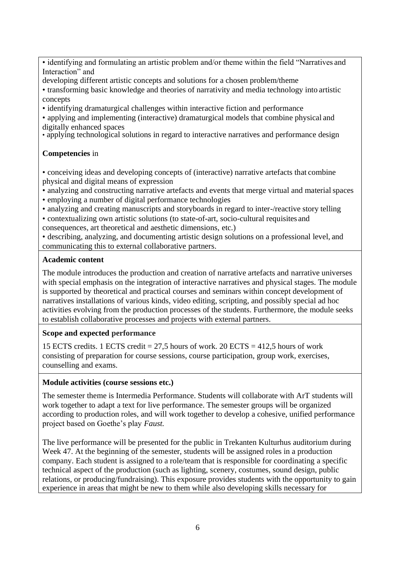• identifying and formulating an artistic problem and/or theme within the field "Narratives and Interaction" and

developing different artistic concepts and solutions for a chosen problem/theme

• transforming basic knowledge and theories of narrativity and media technology into artistic concepts

• identifying dramaturgical challenges within interactive fiction and performance

• applying and implementing (interactive) dramaturgical models that combine physical and digitally enhanced spaces

• applying technological solutions in regard to interactive narratives and performance design

## **Competencies** in

• conceiving ideas and developing concepts of (interactive) narrative artefacts that combine physical and digital means of expression

• analyzing and constructing narrative artefacts and events that merge virtual and material spaces

• employing a number of digital performance technologies

• analyzing and creating manuscripts and storyboards in regard to inter-/reactive story telling

• contextualizing own artistic solutions (to state-of-art, socio-cultural requisites and consequences, art theoretical and aesthetic dimensions, etc.)

• describing, analyzing, and documenting artistic design solutions on a professional level, and communicating this to external collaborative partners.

### **Academic content**

The module introduces the production and creation of narrative artefacts and narrative universes with special emphasis on the integration of interactive narratives and physical stages. The module is supported by theoretical and practical courses and seminars within concept development of narratives installations of various kinds, video editing, scripting, and possibly special ad hoc activities evolving from the production processes of the students. Furthermore, the module seeks to establish collaborative processes and projects with external partners.

## **Scope and expected performance**

15 ECTS credits. 1 ECTS credit  $= 27.5$  hours of work. 20 ECTS  $= 412.5$  hours of work consisting of preparation for course sessions, course participation, group work, exercises, counselling and exams.

## **Module activities (course sessions etc.)**

The semester theme is Intermedia Performance. Students will collaborate with ArT students will work together to adapt a text for live performance. The semester groups will be organized according to production roles, and will work together to develop a cohesive, unified performance project based on Goethe's play *Faust.*

The live performance will be presented for the public in Trekanten Kulturhus auditorium during Week 47. At the beginning of the semester, students will be assigned roles in a production company. Each student is assigned to a role/team that is responsible for coordinating a specific technical aspect of the production (such as lighting, scenery, costumes, sound design, public relations, or producing/fundraising). This exposure provides students with the opportunity to gain experience in areas that might be new to them while also developing skills necessary for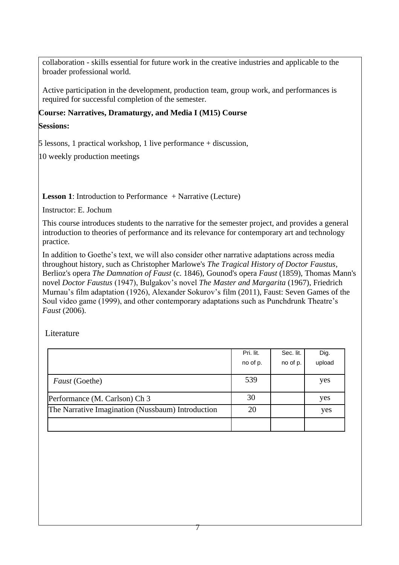collaboration - skills essential for future work in the creative industries and applicable to the broader professional world.

Active participation in the development, production team, group work, and performances is required for successful completion of the semester.

## **Course: Narratives, Dramaturgy, and Media I (M15) Course**

## **Sessions:**

5 lessons, 1 practical workshop, 1 live performance + discussion,

10 weekly production meetings

**Lesson 1**: Introduction to Performance + Narrative (Lecture)

Instructor: E. Jochum

This course introduces students to the narrative for the semester project, and provides a general introduction to theories of performance and its relevance for contemporary art and technology practice.

In addition to Goethe's text, we will also consider other narrative adaptations across media throughout history, such as Christopher Marlowe's *The Tragical History of Doctor Faustus*, Berlioz's opera *The Damnation of Faust* (c. 1846), Gounod's opera *Faust* (1859), Thomas Mann's novel *Doctor Faustus* (1947), Bulgakov's novel *The Master and Margarita* (1967), Friedrich Murnau's film adaptation (1926), Alexander Sokurov's film (2011), Faust: Seven Games of the Soul video game (1999), and other contemporary adaptations such as Punchdrunk Theatre's *Faust* (2006).

Literature

|                                                   | Pri. lit. | Sec. lit. | Dig.   |
|---------------------------------------------------|-----------|-----------|--------|
|                                                   | no of p.  | no of p.  | upload |
| <i>Faust</i> (Goethe)                             | 539       |           | yes    |
| Performance (M. Carlson) Ch 3                     | 30        |           | yes    |
| The Narrative Imagination (Nussbaum) Introduction | 20        |           | yes    |
|                                                   |           |           |        |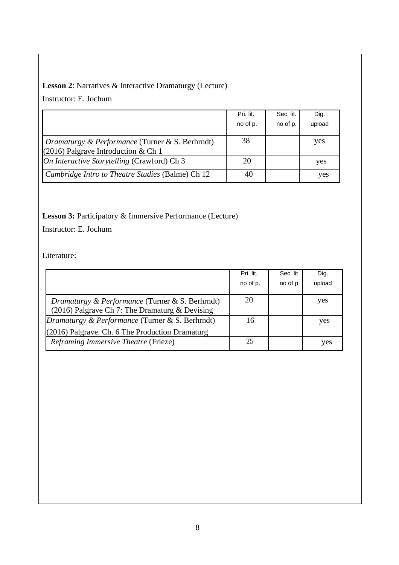## **Lesson 2**: Narratives & Interactive Dramaturgy (Lecture)

Instructor: E. Jochum

|                                                                                          | Pri. lit. | Sec. lit. | Dig.   |
|------------------------------------------------------------------------------------------|-----------|-----------|--------|
|                                                                                          | no of p.  | no of p.  | upload |
| Dramaturgy & Performance (Turner & S. Berhrndt)<br>$(2016)$ Palgrave Introduction & Ch 1 | 38        |           | yes    |
| On Interactive Storytelling (Crawford) Ch 3                                              | 20        |           | yes    |
| Cambridge Intro to Theatre Studies (Balme) Ch 12                                         | 40        |           | yes    |

## **Lesson 3:** Participatory & Immersive Performance (Lecture)

Instructor: E. Jochum

Literature:

|                                                                                                     | Pri. lit. | Sec. lit. | Dig.   |
|-----------------------------------------------------------------------------------------------------|-----------|-----------|--------|
|                                                                                                     | no of p.  | no of p.  | upload |
| Dramaturgy & Performance (Turner & S. Berhrndt)<br>(2016) Palgrave Ch 7: The Dramaturg $&$ Devising | 20        |           | yes    |
| Dramaturgy & Performance (Turner & S. Berhrndt)                                                     | 16        |           | yes    |
| $(2016)$ Palgrave. Ch. 6 The Production Dramaturg                                                   |           |           |        |
| Reframing Immersive Theatre (Frieze)                                                                | 25        |           | yes    |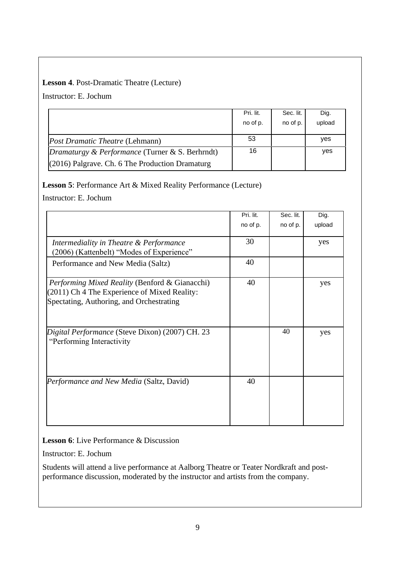### **Lesson 4**. Post-Dramatic Theatre (Lecture)

Instructor: E. Jochum

|                                                   | Pri. lit.<br>no of p. | Sec. lit.<br>no of p. | Dig.<br>upload |
|---------------------------------------------------|-----------------------|-----------------------|----------------|
| <i>Post Dramatic Theatre</i> (Lehmann)            | 53                    |                       | yes            |
| Dramaturgy & Performance (Turner & S. Berhrndt)   | 16                    |                       | yes            |
| $(2016)$ Palgrave. Ch. 6 The Production Dramaturg |                       |                       |                |

**Lesson 5**: Performance Art & Mixed Reality Performance (Lecture)

Instructor: E. Jochum

|                                                                                                                                            | Pri. lit. | Sec. lit. | Dig.   |
|--------------------------------------------------------------------------------------------------------------------------------------------|-----------|-----------|--------|
|                                                                                                                                            | no of p.  | no of p.  | upload |
| Intermediality in Theatre & Performance<br>(2006) (Kattenbelt) "Modes of Experience"                                                       | 30        |           | yes    |
| Performance and New Media (Saltz)                                                                                                          | 40        |           |        |
| Performing Mixed Reality (Benford & Gianacchi)<br>(2011) Ch 4 The Experience of Mixed Reality:<br>Spectating, Authoring, and Orchestrating | 40        |           | yes    |
| Digital Performance (Steve Dixon) (2007) CH. 23<br>"Performing Interactivity"                                                              |           | 40        | yes    |
| <i>Performance and New Media</i> (Saltz, David)                                                                                            | 40        |           |        |

**Lesson 6**: Live Performance & Discussion

Instructor: E. Jochum

Students will attend a live performance at Aalborg Theatre or Teater Nordkraft and postperformance discussion, moderated by the instructor and artists from the company.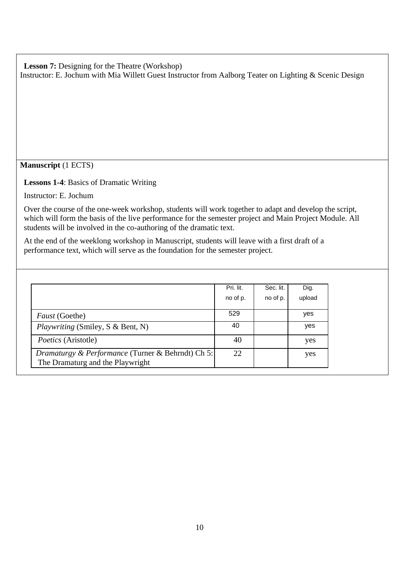Lesson 7: Designing for the Theatre (Workshop)

Instructor: E. Jochum with Mia Willett Guest Instructor from Aalborg Teater on Lighting & Scenic Design

### **Manuscript** (1 ECTS)

### **Lessons 1-4**: Basics of Dramatic Writing

Instructor: E. Jochum

Over the course of the one-week workshop, students will work together to adapt and develop the script, which will form the basis of the live performance for the semester project and Main Project Module. All students will be involved in the co-authoring of the dramatic text.

At the end of the weeklong workshop in Manuscript, students will leave with a first draft of a performance text, which will serve as the foundation for the semester project.

|                                                                                       | Pri. lit. | Sec. lit. | Dig.   |
|---------------------------------------------------------------------------------------|-----------|-----------|--------|
|                                                                                       | no of p.  | no of p.  | upload |
| <i>Faust</i> (Goethe)                                                                 | 529       |           | yes    |
| <i>Playwriting</i> (Smiley, S & Bent, N)                                              | 40        |           | yes    |
| <i>Poetics</i> (Aristotle)                                                            | 40        |           | yes    |
| Dramaturgy & Performance (Turner & Behrndt) Ch 5:<br>The Dramaturg and the Playwright | 22        |           | yes    |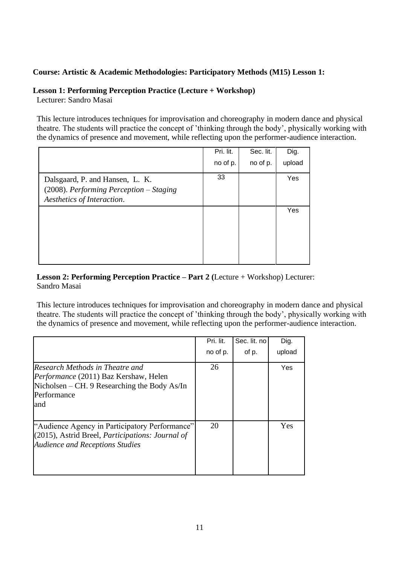### **Course: Artistic & Academic Methodologies: Participatory Methods (M15) Lesson 1:**

#### **Lesson 1: Performing Perception Practice (Lecture + Workshop)**

Lecturer: Sandro Masai

This lecture introduces techniques for improvisation and choreography in modern dance and physical theatre. The students will practice the concept of 'thinking through the body', physically working with the dynamics of presence and movement, while reflecting upon the performer-audience interaction.

|                                            | Pri. lit. | Sec. lit. | Dig.   |
|--------------------------------------------|-----------|-----------|--------|
|                                            | no of p.  | no of p.  | upload |
| Dalsgaard, P. and Hansen, L. K.            | 33        |           | Yes    |
| $(2008)$ . Performing Perception – Staging |           |           |        |
| Aesthetics of Interaction.                 |           |           |        |
|                                            |           |           | Yes    |
|                                            |           |           |        |
|                                            |           |           |        |
|                                            |           |           |        |
|                                            |           |           |        |
|                                            |           |           |        |

#### **Lesson 2: Performing Perception Practice – Part 2 (**Lecture + Workshop) Lecturer: Sandro Masai

This lecture introduces techniques for improvisation and choreography in modern dance and physical theatre. The students will practice the concept of 'thinking through the body', physically working with the dynamics of presence and movement, while reflecting upon the performer-audience interaction.

|                                                                                                                                                     | Pri. lit. | Sec. lit. no | Dig.   |
|-----------------------------------------------------------------------------------------------------------------------------------------------------|-----------|--------------|--------|
|                                                                                                                                                     | no of p.  | of p.        | upload |
| Research Methods in Theatre and<br>Performance (2011) Baz Kershaw, Helen<br>Nicholsen – CH. 9 Researching the Body $As/In$<br>Performance<br>land   | 26        |              | Yes    |
| "Audience Agency in Participatory Performance"<br>(2015), Astrid Breel, <i>Participations: Journal of</i><br><b>Audience and Receptions Studies</b> | 20        |              | Yes    |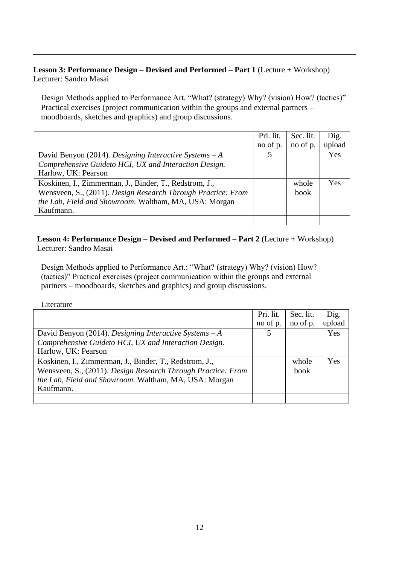### **Lesson 3: Performance Design – Devised and Performed – Part 1** (Lecture + Workshop) Lecturer: Sandro Masai

Design Methods applied to Performance Art. "What? (strategy) Why? (vision) How? (tactics)" Practical exercises (project communication within the groups and external partners – moodboards, sketches and graphics) and group discussions.

|                                                              | Pri. lit. | Sec. lit. | Dig.       |
|--------------------------------------------------------------|-----------|-----------|------------|
|                                                              | no of p.  | no of p.  | upload     |
| David Benyon (2014). Designing Interactive Systems $-A$      |           |           | <b>Yes</b> |
| Comprehensive Guideto HCI, UX and Interaction Design.        |           |           |            |
| Harlow, UK: Pearson                                          |           |           |            |
| Koskinen, I., Zimmerman, J., Binder, T., Redstrom, J.,       |           | whole     | Yes        |
| Wensveen, S., (2011). Design Research Through Practice: From |           | book      |            |
| the Lab, Field and Showroom. Waltham, MA, USA: Morgan        |           |           |            |
| Kaufmann.                                                    |           |           |            |
|                                                              |           |           |            |

**Lesson 4: Performance Design – Devised and Performed – Part 2** (Lecture + Workshop) Lecturer: Sandro Masai

Design Methods applied to Performance Art.: "What? (strategy) Why? (vision) How? (tactics)" Practical exercises (project communication within the groups and external partners – moodboards, sketches and graphics) and group discussions.

Literature

|                                                              | Pri. lit. | Sec. lit. | Dig.   |
|--------------------------------------------------------------|-----------|-----------|--------|
|                                                              | no of p.  | no of p.  | upload |
| David Benyon (2014). Designing Interactive Systems $-A$      | 5         |           | Yes    |
| Comprehensive Guideto HCI, UX and Interaction Design.        |           |           |        |
| Harlow, UK: Pearson                                          |           |           |        |
| Koskinen, I., Zimmerman, J., Binder, T., Redstrom, J.,       |           | whole     | Yes    |
| Wensveen, S., (2011). Design Research Through Practice: From |           | book      |        |
| the Lab, Field and Showroom. Waltham, MA, USA: Morgan        |           |           |        |
| Kaufmann.                                                    |           |           |        |
|                                                              |           |           |        |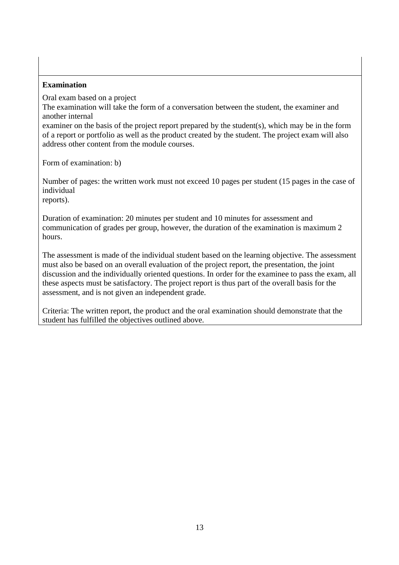#### **Examination**

Oral exam based on a project

The examination will take the form of a conversation between the student, the examiner and another internal

examiner on the basis of the project report prepared by the student(s), which may be in the form of a report or portfolio as well as the product created by the student. The project exam will also address other content from the module courses.

Form of examination: b)

Number of pages: the written work must not exceed 10 pages per student (15 pages in the case of individual

reports).

Duration of examination: 20 minutes per student and 10 minutes for assessment and communication of grades per group, however, the duration of the examination is maximum 2 hours.

The assessment is made of the individual student based on the learning objective. The assessment must also be based on an overall evaluation of the project report, the presentation, the joint discussion and the individually oriented questions. In order for the examinee to pass the exam, all these aspects must be satisfactory. The project report is thus part of the overall basis for the assessment, and is not given an independent grade.

Criteria: The written report, the product and the oral examination should demonstrate that the student has fulfilled the objectives outlined above.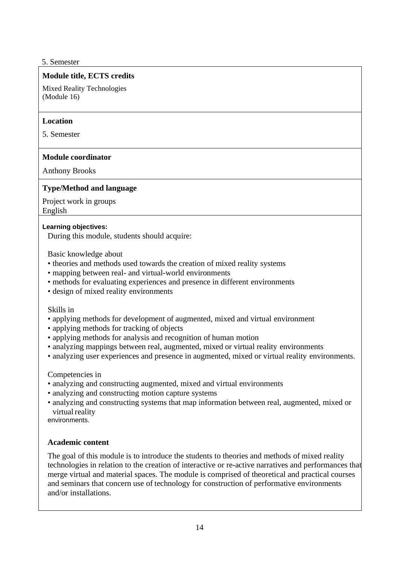#### 5. Semester

### **Module title, ECTS credits**

Mixed Reality Technologies (Module 16)

#### **Location**

5. Semester

### **Module coordinator**

Anthony Brooks

### **Type/Method and language**

Project work in groups English

#### **Learning objectives:**

During this module, students should acquire:

Basic knowledge about

- theories and methods used towards the creation of mixed reality systems
- mapping between real- and virtual-world environments
- methods for evaluating experiences and presence in different environments
- design of mixed reality environments

#### Skills in

- applying methods for development of augmented, mixed and virtual environment
- applying methods for tracking of objects
- applying methods for analysis and recognition of human motion
- analyzing mappings between real, augmented, mixed or virtual reality environments
- analyzing user experiences and presence in augmented, mixed or virtual reality environments.

Competencies in

- analyzing and constructing augmented, mixed and virtual environments
- analyzing and constructing motion capture systems
- analyzing and constructing systems that map information between real, augmented, mixed or virtual reality

environments.

### **Academic content**

The goal of this module is to introduce the students to theories and methods of mixed reality technologies in relation to the creation of interactive or re-active narratives and performances that merge virtual and material spaces. The module is comprised of theoretical and practical courses and seminars that concern use of technology for construction of performative environments and/or installations.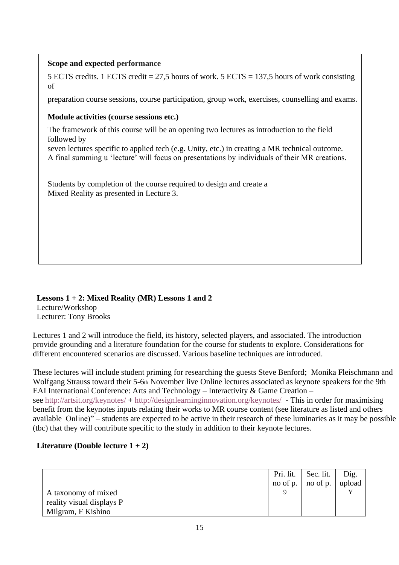### **Scope and expected performance**

5 ECTS credits. 1 ECTS credit = 27,5 hours of work. 5 ECTS = 137,5 hours of work consisting of

preparation course sessions, course participation, group work, exercises, counselling and exams.

#### **Module activities (course sessions etc.)**

The framework of this course will be an opening two lectures as introduction to the field followed by

seven lectures specific to applied tech (e.g. Unity, etc.) in creating a MR technical outcome. A final summing u 'lecture' will focus on presentations by individuals of their MR creations.

Students by completion of the course required to design and create a Mixed Reality as presented in Lecture 3.

**Lessons 1 + 2: Mixed Reality (MR) Lessons 1 and 2** Lecture/Workshop Lecturer: Tony Brooks

Lectures 1 and 2 will introduce the field, its history, selected players, and associated. The introduction provide grounding and a literature foundation for the course for students to explore. Considerations for different encountered scenarios are discussed. Various baseline techniques are introduced.

These lectures will include student priming for researching the guests Steve Benford; Monika Fleischmann and Wolfgang Strauss toward their 5-6th November live Online lectures associated as keynote speakers for the 9th EAI International Conference: Arts and Technology – Interactivity & Game Creation – see <http://artsit.org/keynotes/> + <http://designlearninginnovation.org/keynotes/> - This in order for maximising benefit from the keynotes inputs relating their works to MR course content (see literature as listed and others available Online)" – students are expected to be active in their research of these luminaries as it may be possible (tbc) that they will contribute specific to the study in addition to their keynote lectures.

### **Literature (Double lecture 1 + 2)**

|                           | Pri. lit. | Sec. lit.<br>no of p. $\vert$ no of p. | Dig.<br>upload |
|---------------------------|-----------|----------------------------------------|----------------|
| A taxonomy of mixed       |           |                                        |                |
| reality visual displays P |           |                                        |                |
| Milgram, F Kishino        |           |                                        |                |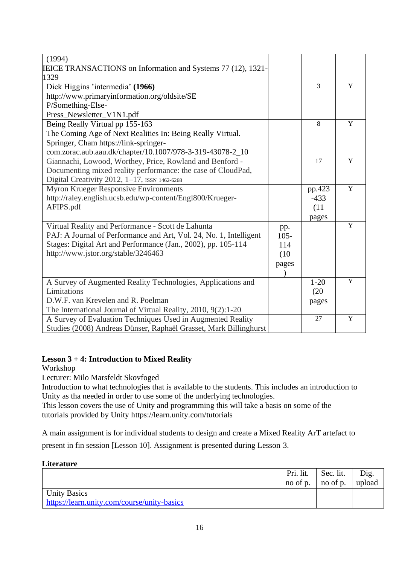| (1994)                                                              |         |                |                |
|---------------------------------------------------------------------|---------|----------------|----------------|
| <b>IEICE TRANSACTIONS</b> on Information and Systems 77 (12), 1321- |         |                |                |
| 1329                                                                |         |                |                |
| Dick Higgins 'intermedia' (1966)                                    |         | $\overline{3}$ | Y              |
| http://www.primaryinformation.org/oldsite/SE                        |         |                |                |
| P/Something-Else-                                                   |         |                |                |
| Press_Newsletter_V1N1.pdf                                           |         |                |                |
| Being Really Virtual pp 155-163                                     |         | 8              | Y              |
| The Coming Age of Next Realities In: Being Really Virtual.          |         |                |                |
| Springer, Cham https://link-springer-                               |         |                |                |
| com.zorac.aub.aau.dk/chapter/10.1007/978-3-319-43078-2_10           |         |                |                |
| Giannachi, Lowood, Worthey, Price, Rowland and Benford -            |         | 17             | $\overline{Y}$ |
| Documenting mixed reality performance: the case of CloudPad,        |         |                |                |
| Digital Creativity 2012, $1-17$ , ISSN 1462-6268                    |         |                |                |
| <b>Myron Krueger Responsive Environments</b>                        |         | pp.423         | Y              |
| http://raley.english.ucsb.edu/wp-content/Engl800/Krueger-           |         | $-433$         |                |
| AFIPS.pdf                                                           |         | (11)           |                |
|                                                                     |         | pages          |                |
| Virtual Reality and Performance - Scott de Lahunta                  | pp.     |                | $\overline{Y}$ |
| PAJ: A Journal of Performance and Art, Vol. 24, No. 1, Intelligent  | $105 -$ |                |                |
| Stages: Digital Art and Performance (Jan., 2002), pp. 105-114       | 114     |                |                |
| http://www.jstor.org/stable/3246463                                 | (10)    |                |                |
|                                                                     | pages   |                |                |
|                                                                     |         |                |                |
| A Survey of Augmented Reality Technologies, Applications and        |         | $1 - 20$       | $\overline{Y}$ |
| Limitations                                                         |         | (20)           |                |
| D.W.F. van Krevelen and R. Poelman                                  |         | pages          |                |
| The International Journal of Virtual Reality, 2010, 9(2):1-20       |         |                |                |
| A Survey of Evaluation Techniques Used in Augmented Reality         |         | 27             | Y              |
| Studies (2008) Andreas Dünser, Raphaël Grasset, Mark Billinghurst   |         |                |                |

### **Lesson 3 + 4: Introduction to Mixed Reality**

Workshop

Lecturer: Milo Marsfeldt Skovfoged

Introduction to what technologies that is available to the students. This includes an introduction to Unity as tha needed in order to use some of the underlying technologies.

This lesson covers the use of Unity and programming this will take a basis on some of the tutorials provided by Unity https://learn.unity.com/tutorials

A main assignment is for individual students to design and create a Mixed Reality ArT artefact to

present in fin session [Lesson 10]. Assignment is presented during Lesson 3.

### **Literature**

|                                             | Pri. lit. | Sec. lit. | Dig.   |
|---------------------------------------------|-----------|-----------|--------|
|                                             | no of p.  | no of p.  | upload |
| <b>Unity Basics</b>                         |           |           |        |
| https://learn.unity.com/course/unity-basics |           |           |        |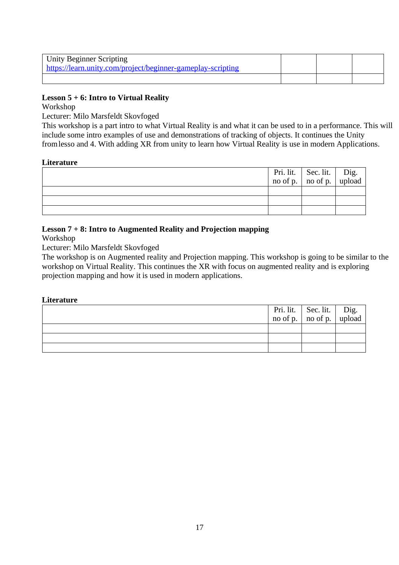| Unity Beginner Scripting                                    |  |  |
|-------------------------------------------------------------|--|--|
| https://learn.unity.com/project/beginner-gameplay-scripting |  |  |
|                                                             |  |  |

### **Lesson 5 + 6: Intro to Virtual Reality**

Workshop

Lecturer: Milo Marsfeldt Skovfoged

This workshop is a part intro to what Virtual Reality is and what it can be used to in a performance. This will include some intro examples of use and demonstrations of tracking of objects. It continues the Unity fromlesso and 4. With adding XR from unity to learn how Virtual Reality is use in modern Applications.

#### **Literature**

|  | Pri. lit. Sec. lit. Dig.<br>no of p. no of p. upload |  |
|--|------------------------------------------------------|--|
|  |                                                      |  |
|  |                                                      |  |
|  |                                                      |  |
|  |                                                      |  |

### **Lesson 7 + 8: Intro to Augmented Reality and Projection mapping**

Workshop

Lecturer: Milo Marsfeldt Skovfoged

The workshop is on Augmented reality and Projection mapping. This workshop is going to be similar to the workshop on Virtual Reality. This continues the XR with focus on augmented reality and is exploring projection mapping and how it is used in modern applications.

#### **Literature**

|  | Pri. lit. Sec. lit. Dig.<br>no of p. no of p. upload |  |
|--|------------------------------------------------------|--|
|  |                                                      |  |
|  |                                                      |  |
|  |                                                      |  |
|  |                                                      |  |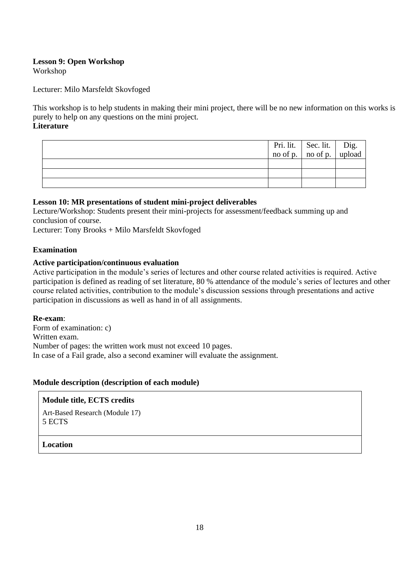#### **Lesson 9: Open Workshop** Workshop

Lecturer: Milo Marsfeldt Skovfoged

This workshop is to help students in making their mini project, there will be no new information on this works is purely to help on any questions on the mini project. **Literature**

|  | Pri. lit. Sec. lit. Dig.<br>no of p. no of p. upload |  |
|--|------------------------------------------------------|--|
|  |                                                      |  |
|  |                                                      |  |
|  |                                                      |  |
|  |                                                      |  |

#### **Lesson 10: MR presentations of student mini-project deliverables**

Lecture/Workshop: Students present their mini-projects for assessment/feedback summing up and conclusion of course.

Lecturer: Tony Brooks + Milo Marsfeldt Skovfoged

#### **Examination**

#### **Active participation/continuous evaluation**

Active participation in the module's series of lectures and other course related activities is required. Active participation is defined as reading of set literature, 80 % attendance of the module's series of lectures and other course related activities, contribution to the module's discussion sessions through presentations and active participation in discussions as well as hand in of all assignments.

#### **Re-exam**:

Form of examination: c) Written exam. Number of pages: the written work must not exceed 10 pages. In case of a Fail grade, also a second examiner will evaluate the assignment.

#### **Module description (description of each module)**

#### **Module title, ECTS credits**

Art-Based Research (Module 17) 5 ECTS

### **Location**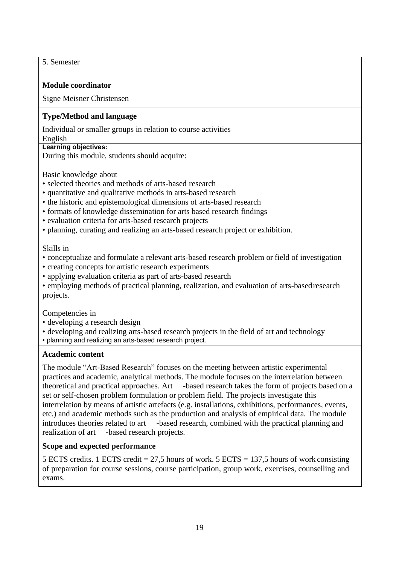5. Semester

### **Module coordinator**

Signe Meisner Christensen

### **Type/Method and language**

Individual or smaller groups in relation to course activities English

### **Learning objectives:**

During this module, students should acquire:

Basic knowledge about

- selected theories and methods of arts-based research
- quantitative and qualitative methods in arts-based research
- the historic and epistemological dimensions of arts-based research
- formats of knowledge dissemination for arts based research findings
- evaluation criteria for arts-based research projects
- planning, curating and realizing an arts-based research project or exhibition.

Skills in

- conceptualize and formulate a relevant arts-based research problem or field of investigation
- creating concepts for artistic research experiments
- applying evaluation criteria as part of arts-based research

• employing methods of practical planning, realization, and evaluation of arts-basedresearch projects.

Competencies in

- developing a research design
- developing and realizing arts-based research projects in the field of art and technology
- planning and realizing an arts-based research project.

### **Academic content**

The module "Art-Based Research" focuses on the meeting between artistic experimental practices and academic, analytical methods. The module focuses on the interrelation between theoretical and practical approaches. Art -based research takes the form of projects based on a set or self-chosen problem formulation or problem field. The projects investigate this interrelation by means of artistic artefacts (e.g. installations, exhibitions, performances, events, etc.) and academic methods such as the production and analysis of empirical data. The module introduces theories related to art -based research, combined with the practical planning and realization of art -based research projects.

### **Scope and expected performance**

5 ECTS credits. 1 ECTS credit = 27,5 hours of work. 5 ECTS = 137,5 hours of work consisting of preparation for course sessions, course participation, group work, exercises, counselling and exams.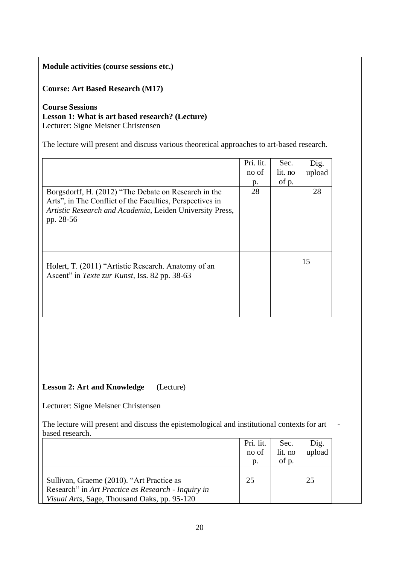### **Course: Art Based Research (M17)**

### **Course Sessions**

### **Lesson 1: What is art based research? (Lecture)**

Lecturer: Signe Meisner Christensen

The lecture will present and discuss various theoretical approaches to art-based research.

|                                                                                                                                                                                           | Pri. lit. | Sec.    | Dig.   |
|-------------------------------------------------------------------------------------------------------------------------------------------------------------------------------------------|-----------|---------|--------|
|                                                                                                                                                                                           | no of     | lit. no | upload |
|                                                                                                                                                                                           | p.        | of p.   |        |
| Borgsdorff, H. (2012) "The Debate on Research in the<br>Arts", in The Conflict of the Faculties, Perspectives in<br>Artistic Research and Academia, Leiden University Press,<br>pp. 28-56 | 28        |         | 28     |
| Holert, T. (2011) "Artistic Research. Anatomy of an<br>Ascent" in Texte zur Kunst, Iss. 82 pp. 38-63                                                                                      |           |         | 15     |

## **Lesson 2: Art and Knowledge** (Lecture)

Lecturer: Signe Meisner Christensen

The lecture will present and discuss the epistemological and institutional contexts for art based research.

|                                                     | Pri. lit. | Sec.    | Dig.   |
|-----------------------------------------------------|-----------|---------|--------|
|                                                     | no of     | lit. no | upload |
|                                                     | p.        | of p.   |        |
|                                                     |           |         |        |
| Sullivan, Graeme (2010). "Art Practice as           | 25        |         | 25     |
| Research" in Art Practice as Research - Inquiry in  |           |         |        |
| <i>Visual Arts, Sage, Thousand Oaks, pp. 95-120</i> |           |         |        |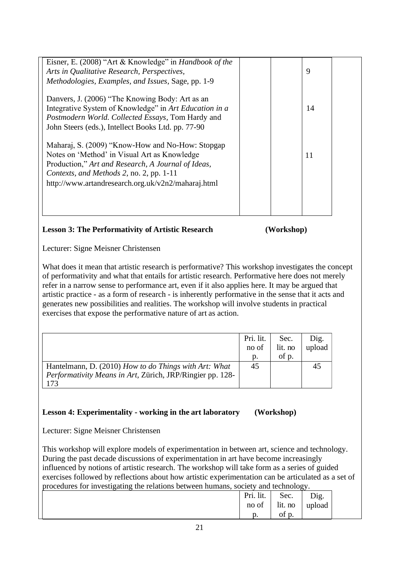| Eisner, E. (2008) "Art & Knowledge" in Handbook of the   |                   |  |
|----------------------------------------------------------|-------------------|--|
| Arts in Qualitative Research, Perspectives,              | 9                 |  |
| Methodologies, Examples, and Issues, Sage, pp. 1-9       |                   |  |
| Danvers, J. (2006) "The Knowing Body: Art as an          |                   |  |
| Integrative System of Knowledge" in Art Education in a   | 14                |  |
| Postmodern World. Collected Essays, Tom Hardy and        |                   |  |
| John Steers (eds.), Intellect Books Ltd. pp. 77-90       |                   |  |
| Maharaj, S. (2009) "Know-How and No-How: Stopgap         |                   |  |
| Notes on 'Method' in Visual Art as Knowledge             | 11                |  |
| Production," Art and Research, A Journal of Ideas,       |                   |  |
| Contexts, and Methods 2, no. 2, pp. 1-11                 |                   |  |
| http://www.artandresearch.org.uk/v2n2/maharaj.html       |                   |  |
|                                                          |                   |  |
|                                                          |                   |  |
|                                                          |                   |  |
| <b>Lesson 3: The Performativity of Artistic Research</b> | <b>Workshop</b> ) |  |

Lecturer: Signe Meisner Christensen

What does it mean that artistic research is performative? This workshop investigates the concept of performativity and what that entails for artistic research. Performative here does not merely refer in a narrow sense to performance art, even if it also applies here. It may be argued that artistic practice - as a form of research - is inherently performative in the sense that it acts and generates new possibilities and realities. The workshop will involve students in practical exercises that expose the performative nature of art as action.

|                                                           | Pri. lit. | Sec.    | Dig.   |
|-----------------------------------------------------------|-----------|---------|--------|
|                                                           | no of     | lit. no | upload |
|                                                           | p.        | of p.   |        |
| Hantelmann, D. (2010) How to do Things with Art: What     | 45        |         | 45     |
| Performativity Means in Art, Zürich, JRP/Ringier pp. 128- |           |         |        |
| 173                                                       |           |         |        |

## **Lesson 4: Experimentality - working in the art laboratory (Workshop)**

Lecturer: Signe Meisner Christensen

This workshop will explore models of experimentation in between art, science and technology. During the past decade discussions of experimentation in art have become increasingly influenced by notions of artistic research. The workshop will take form as a series of guided exercises followed by reflections about how artistic experimentation can be articulated as a set of procedures for investigating the relations between humans, society and technology.

| procedures for investigating the relations between numalis, society and technology. |           |         |        |
|-------------------------------------------------------------------------------------|-----------|---------|--------|
|                                                                                     | Pri. lit. | Sec.    | Dig.   |
|                                                                                     | no of     | lit. no | upload |
|                                                                                     |           | OI D.   |        |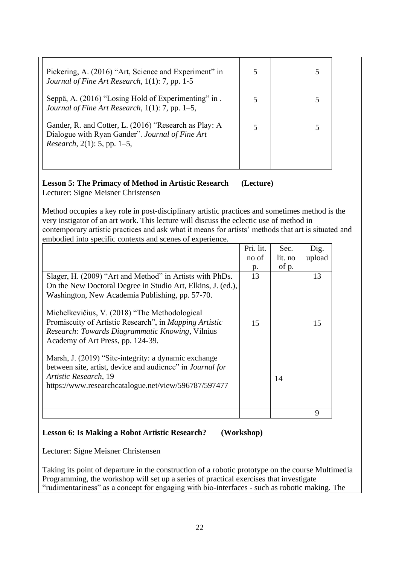| Pickering, A. (2016) "Art, Science and Experiment" in<br>Journal of Fine Art Research, $1(1)$ : 7, pp. 1-5                                         |  |  |
|----------------------------------------------------------------------------------------------------------------------------------------------------|--|--|
| Seppä, A. (2016) "Losing Hold of Experimenting" in.<br>Journal of Fine Art Research, $1(1)$ : 7, pp. 1–5,                                          |  |  |
| Gander, R. and Cotter, L. (2016) "Research as Play: A<br>Dialogue with Ryan Gander". Journal of Fine Art<br><i>Research</i> , $2(1)$ : 5, pp. 1–5, |  |  |

**Lesson 5: The Primacy of Method in Artistic Research (Lecture)** Lecturer: Signe Meisner Christensen

Method occupies a key role in post-disciplinary artistic practices and sometimes method is the very instigator of an art work. This lecture will discuss the eclectic use of method in contemporary artistic practices and ask what it means for artists' methods that art is situated and embodied into specific contexts and scenes of experience.

|                                                                                                                                                                                                           | Pri. lit. | Sec.    | Dig.   |
|-----------------------------------------------------------------------------------------------------------------------------------------------------------------------------------------------------------|-----------|---------|--------|
|                                                                                                                                                                                                           | no of     | lit. no | upload |
|                                                                                                                                                                                                           | p.        | of p.   |        |
| Slager, H. (2009) "Art and Method" in Artists with PhDs.                                                                                                                                                  | 13        |         | 13     |
| On the New Doctoral Degree in Studio Art, Elkins, J. (ed.),<br>Washington, New Academia Publishing, pp. 57-70.                                                                                            |           |         |        |
|                                                                                                                                                                                                           |           |         |        |
| Michelkevičius, V. (2018) "The Methodological<br>Promiscuity of Artistic Research", in Mapping Artistic<br>Research: Towards Diagrammatic Knowing, Vilnius<br>Academy of Art Press, pp. 124-39.           | 15        |         | 15     |
| Marsh, J. (2019) "Site-integrity: a dynamic exchange<br>between site, artist, device and audience" in <i>Journal for</i><br>Artistic Research, 19<br>https://www.researchcatalogue.net/view/596787/597477 |           | 14      |        |
|                                                                                                                                                                                                           |           |         | 9      |

### **Lesson 6: Is Making a Robot Artistic Research? (Workshop)**

Lecturer: Signe Meisner Christensen

Taking its point of departure in the construction of a robotic prototype on the course Multimedia Programming, the workshop will set up a series of practical exercises that investigate "rudimentariness" as a concept for engaging with bio-interfaces - such as robotic making. The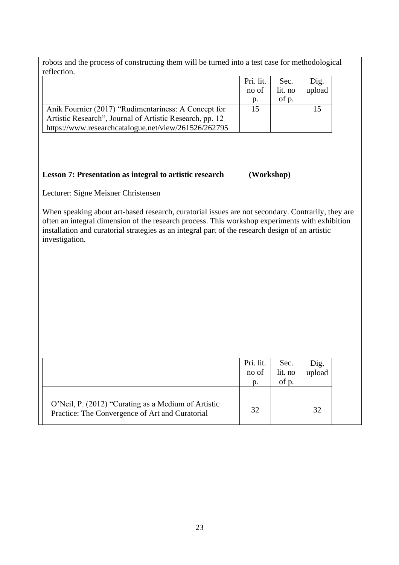robots and the process of constructing them will be turned into a test case for methodological reflection.

|                                                          | Pri. lit. | Sec.    | Dig.   |
|----------------------------------------------------------|-----------|---------|--------|
|                                                          | no of     | lit. no | upload |
|                                                          | p.        | of p.   |        |
| Anik Fournier (2017) "Rudimentariness: A Concept for     | 15        |         |        |
| Artistic Research", Journal of Artistic Research, pp. 12 |           |         |        |
| https://www.researchcatalogue.net/view/261526/262795     |           |         |        |

## **Lesson 7: Presentation as integral to artistic research (Workshop)**

Lecturer: Signe Meisner Christensen

When speaking about art-based research, curatorial issues are not secondary. Contrarily, they are often an integral dimension of the research process. This workshop experiments with exhibition installation and curatorial strategies as an integral part of the research design of an artistic investigation.

|                                                                                                        | Pri. lit.<br>no of<br>D. | Sec.<br>lit. no<br>of p. | Dig.<br>upload |
|--------------------------------------------------------------------------------------------------------|--------------------------|--------------------------|----------------|
| O'Neil, P. (2012) "Curating as a Medium of Artistic<br>Practice: The Convergence of Art and Curatorial | 32                       |                          | 32             |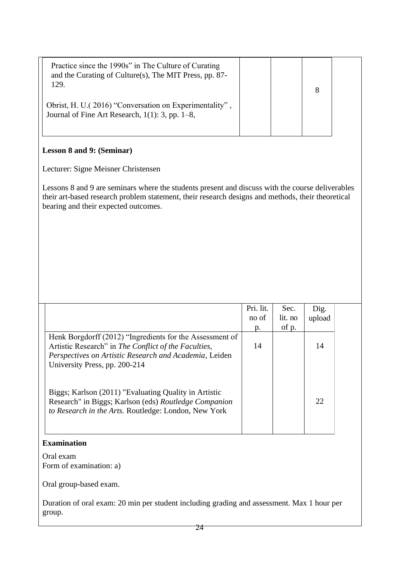| Practice since the 1990s" in The Culture of Curating<br>and the Curating of Culture(s), The MIT Press, pp. 87-<br>129. |  |  |
|------------------------------------------------------------------------------------------------------------------------|--|--|
| Obrist, H. U. (2016) "Conversation on Experimentality",<br>Journal of Fine Art Research, $1(1)$ : 3, pp. 1–8,          |  |  |

### **Lesson 8 and 9: (Seminar)**

Lecturer: Signe Meisner Christensen

Lessons 8 and 9 are seminars where the students present and discuss with the course deliverables their art-based research problem statement, their research designs and methods, their theoretical bearing and their expected outcomes.

|                                                          | Pri. lit. | Sec.    | Dig.   |  |
|----------------------------------------------------------|-----------|---------|--------|--|
|                                                          | no of     | lit. no | upload |  |
|                                                          | p.        | of p.   |        |  |
| Henk Borgdorff (2012) "Ingredients for the Assessment of |           |         |        |  |
| Artistic Research" in The Conflict of the Faculties,     | 14        |         | 14     |  |
| Perspectives on Artistic Research and Academia, Leiden   |           |         |        |  |
| University Press, pp. 200-214                            |           |         |        |  |
|                                                          |           |         |        |  |
|                                                          |           |         |        |  |
| Biggs; Karlson (2011) "Evaluating Quality in Artistic    |           |         |        |  |
| Research" in Biggs; Karlson (eds) Routledge Companion    |           |         | 22     |  |
| to Research in the Arts. Routledge: London, New York     |           |         |        |  |
|                                                          |           |         |        |  |
|                                                          |           |         |        |  |

### **Examination**

Oral exam Form of examination: a)

Oral group-based exam.

Duration of oral exam: 20 min per student including grading and assessment. Max 1 hour per group.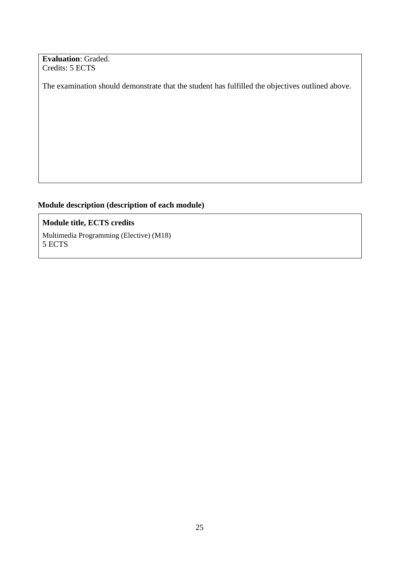**Evaluation**: Graded. Credits: 5 ECTS

The examination should demonstrate that the student has fulfilled the objectives outlined above.

## **Module description (description of each module)**

## **Module title, ECTS credits**

Multimedia Programming (Elective) (M18) 5 ECTS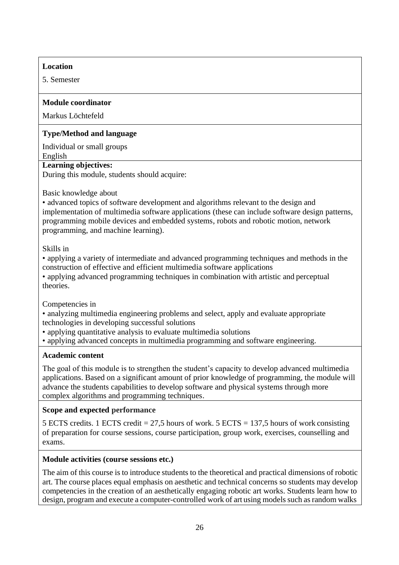## **Location**

5. Semester

## **Module coordinator**

Markus Löchtefeld

## **Type/Method and language**

Individual or small groups English

## **Learning objectives:**

During this module, students should acquire:

Basic knowledge about

• advanced topics of software development and algorithms relevant to the design and implementation of multimedia software applications (these can include software design patterns, programming mobile devices and embedded systems, robots and robotic motion, network programming, and machine learning).

Skills in

• applying a variety of intermediate and advanced programming techniques and methods in the construction of effective and efficient multimedia software applications

• applying advanced programming techniques in combination with artistic and perceptual theories.

Competencies in

• analyzing multimedia engineering problems and select, apply and evaluate appropriate technologies in developing successful solutions

• applying quantitative analysis to evaluate multimedia solutions

• applying advanced concepts in multimedia programming and software engineering.

## **Academic content**

The goal of this module is to strengthen the student's capacity to develop advanced multimedia applications. Based on a significant amount of prior knowledge of programming, the module will advance the students capabilities to develop software and physical systems through more complex algorithms and programming techniques.

## **Scope and expected performance**

5 ECTS credits. 1 ECTS credit = 27,5 hours of work. 5 ECTS = 137,5 hours of work consisting of preparation for course sessions, course participation, group work, exercises, counselling and exams.

## **Module activities (course sessions etc.)**

The aim of this course is to introduce students to the theoretical and practical dimensions of robotic art. The course places equal emphasis on aesthetic and technical concerns so students may develop competencies in the creation of an aesthetically engaging robotic art works. Students learn how to design, program and execute a computer-controlled work of art using models such as random walks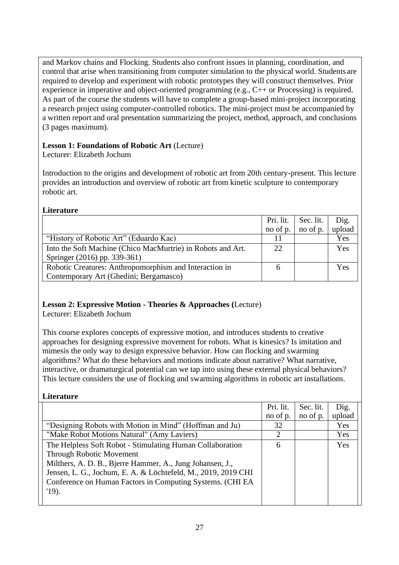and Markov chains and Flocking. Students also confront issues in planning, coordination, and control that arise when transitioning from computer simulation to the physical world. Students are required to develop and experiment with robotic prototypes they will construct themselves. Prior experience in imperative and object-oriented programming (e.g., C++ or Processing) is required. As part of the course the students will have to complete a group-based mini-project incorporating a research project using computer-controlled robotics. The mini-project must be accompanied by a written report and oral presentation summarizing the project, method, approach, and conclusions (3 pages maximum).

### **Lesson 1: Foundations of Robotic Art** (Lecture)

Lecturer: Elizabeth Jochum

Introduction to the origins and development of robotic art from 20th century-present. This lecture provides an introduction and overview of robotic art from kinetic sculpture to contemporary robotic art.

### **Literature**

|                                                             | Pri. lit. | Sec. lit. | Dig.   |
|-------------------------------------------------------------|-----------|-----------|--------|
|                                                             | no of p.  | no of p.  | upload |
| "History of Robotic Art" (Eduardo Kac)                      |           |           | Yes    |
| Into the Soft Machine (Chico MacMurtrie) in Robots and Art. | 22        |           | Yes    |
| Springer (2016) pp. 339-361)                                |           |           |        |
| Robotic Creatures: Anthropomorphism and Interaction in      |           |           | Yes    |
| Contemporary Art (Ghedini; Bergamasco)                      |           |           |        |

# **Lesson 2: Expressive Motion - Theories & Approaches (**Lecture)

Lecturer: Elizabeth Jochum

This course explores concepts of expressive motion, and introduces students to creative approaches for designing expressive movement for robots. What is kinesics? Is imitation and mimesis the only way to design expressive behavior. How can flocking and swarming algorithms? What do these behaviors and motions indicate about narrative? What narrative, interactive, or dramaturgical potential can we tap into using these external physical behaviors? This lecture considers the use of flocking and swarming algorithms in robotic art installations.

### **Literature**

|                                                               | Pri. lit. | Sec. lit. | Dig.   |
|---------------------------------------------------------------|-----------|-----------|--------|
|                                                               | no of p.  | no of p.  | upload |
| "Designing Robots with Motion in Mind" (Hoffman and Ju)       | 32        |           | Yes    |
| "Make Robot Motions Natural" (Amy Laviers)                    | 2         |           | Yes    |
| The Helpless Soft Robot - Stimulating Human Collaboration     | 6         |           | Yes    |
| Through Robotic Movement                                      |           |           |        |
| Milthers, A. D. B., Bjerre Hammer, A., Jung Johansen, J.,     |           |           |        |
| Jensen, L. G., Jochum, E. A. & Löchtefeld, M., 2019, 2019 CHI |           |           |        |
| Conference on Human Factors in Computing Systems. (CHI EA     |           |           |        |
| $'19$ ).                                                      |           |           |        |
|                                                               |           |           |        |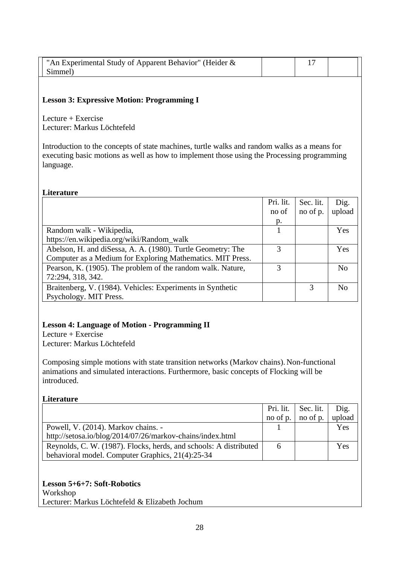| "An Experimental Study of Apparent Behavior" (Heider $\&$ |  |  |
|-----------------------------------------------------------|--|--|
| Simmel)                                                   |  |  |

### **Lesson 3: Expressive Motion: Programming I**

Lecture + Exercise Lecturer: Markus Löchtefeld

Introduction to the concepts of state machines, turtle walks and random walks as a means for executing basic motions as well as how to implement those using the Processing programming language.

#### **Literature**

|                                                             | Pri. lit.     | Sec. lit. | Dig.           |
|-------------------------------------------------------------|---------------|-----------|----------------|
|                                                             | no of         | no of p.  | upload         |
|                                                             | p.            |           |                |
| Random walk - Wikipedia,                                    |               |           | Yes            |
| https://en.wikipedia.org/wiki/Random_walk                   |               |           |                |
| Abelson, H. and diSessa, A. A. (1980). Turtle Geometry: The | 3             |           | Yes            |
| Computer as a Medium for Exploring Mathematics. MIT Press.  |               |           |                |
| Pearson, K. (1905). The problem of the random walk. Nature, | $\mathcal{R}$ |           | No             |
| 72:294, 318, 342.                                           |               |           |                |
| Braitenberg, V. (1984). Vehicles: Experiments in Synthetic  |               | 3         | N <sub>0</sub> |
| Psychology. MIT Press.                                      |               |           |                |

### **Lesson 4: Language of Motion - Programming II**

Lecture + Exercise

Lecturer: Markus Löchtefeld

Composing simple motions with state transition networks (Markov chains). Non-functional animations and simulated interactions. Furthermore, basic concepts of Flocking will be introduced.

### **Literature**

|                                                                   |   | Pri. lit. $\vert$ Sec. lit. $\vert$ | Dig.   |
|-------------------------------------------------------------------|---|-------------------------------------|--------|
|                                                                   |   | no of p. $\vert$ no of p.           | upload |
| Powell, V. (2014). Markov chains. -                               |   |                                     | Yes    |
| http://setosa.io/blog/2014/07/26/markov-chains/index.html         |   |                                     |        |
| Reynolds, C. W. (1987). Flocks, herds, and schools: A distributed | 6 |                                     | Yes    |
| behavioral model. Computer Graphics, 21(4):25-34                  |   |                                     |        |

**Lesson 5+6+7: Soft-Robotics**

Workshop

Lecturer: Markus Löchtefeld & Elizabeth Jochum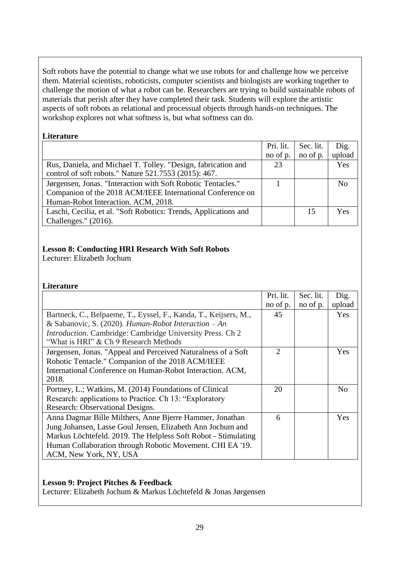Soft robots have the potential to change what we use robots for and challenge how we perceive them. Material scientists, roboticists, computer scientists and biologists are working together to challenge the motion of what a robot can be. Researchers are trying to build sustainable robots of materials that perish after they have completed their task. Students will explore the artistic aspects of soft robots as relational and processual objects through hands-on techniques. The workshop explores not what softness is, but what softness can do.

### **Literature**

|                                                                  | Pri. lit. | Sec. lit. | Dig.           |
|------------------------------------------------------------------|-----------|-----------|----------------|
|                                                                  | no of p.  | no of p.  | upload         |
| Rus, Daniela, and Michael T. Tolley. "Design, fabrication and    | 23        |           | <b>Yes</b>     |
| control of soft robots." Nature 521.7553 (2015): 467.            |           |           |                |
| Jørgensen, Jonas. "Interaction with Soft Robotic Tentacles."     |           |           | N <sub>0</sub> |
| Companion of the 2018 ACM/IEEE International Conference on       |           |           |                |
| Human-Robot Interaction. ACM, 2018.                              |           |           |                |
| Laschi, Cecilia, et al. "Soft Robotics: Trends, Applications and |           | 15        | <b>Yes</b>     |
| Challenges." (2016).                                             |           |           |                |

## **Lesson 8: Conducting HRI Research With Soft Robots**

Lecturer: Elizabeth Jochum

### **Literature**

|                                                                                                           | Pri. lit. | Sec. lit. | Dig.           |
|-----------------------------------------------------------------------------------------------------------|-----------|-----------|----------------|
|                                                                                                           | no of p.  | no of p.  | upload         |
| Bartneck, C., Belpaeme, T., Eyssel, F., Kanda, T., Keijsers, M.,                                          | 45        |           | Yes            |
| & Sabanovic, S. (2020). Human-Robot Interaction $-An$                                                     |           |           |                |
| <i>Introduction.</i> Cambridge: Cambridge University Press. Ch 2<br>"What is HRI" & Ch 9 Research Methods |           |           |                |
| Jørgensen, Jonas. "Appeal and Perceived Naturalness of a Soft                                             | 2         |           | Yes            |
| Robotic Tentacle." Companion of the 2018 ACM/IEEE                                                         |           |           |                |
| International Conference on Human-Robot Interaction. ACM,                                                 |           |           |                |
| 2018.                                                                                                     |           |           |                |
| Portney, L.; Watkins, M. (2014) Foundations of Clinical                                                   | 20        |           | N <sub>o</sub> |
| Research: applications to Practice. Ch 13: "Exploratory                                                   |           |           |                |
| Research: Observational Designs.                                                                          |           |           |                |
| Anna Dagmar Bille Milthers, Anne Bjerre Hammer, Jonathan                                                  | 6         |           | Yes            |
| Jung Johansen, Lasse Goul Jensen, Elizabeth Ann Jochum and                                                |           |           |                |
| Markus Löchtefeld. 2019. The Helpless Soft Robot - Stimulating                                            |           |           |                |
| Human Collaboration through Robotic Movement. CHI EA '19.                                                 |           |           |                |
| ACM, New York, NY, USA                                                                                    |           |           |                |

### **Lesson 9: Project Pitches & Feedback**

Lecturer: Elizabeth Jochum & Markus Löchtefeld & Jonas Jørgensen